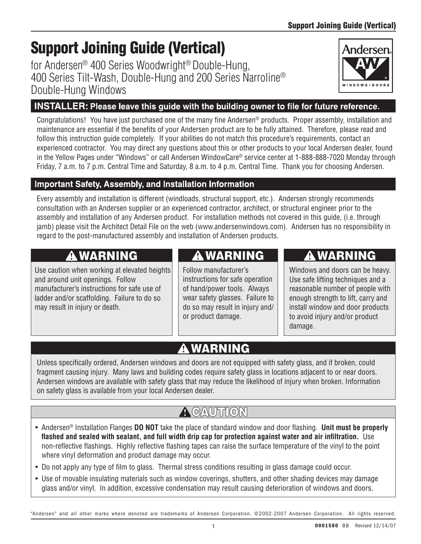# Support Joining Guide (Vertical)

for Andersen® 400 Series Woodwright® Double-Hung, 400 Series Tilt-Wash, Double-Hung and 200 Series Narroline® Double-Hung Windows

## INSTALLER: Please leave this guide with the building owner to file for future reference.

Congratulations! You have just purchased one of the many fine Andersen® products. Proper assembly, installation and maintenance are essential if the benefits of your Andersen product are to be fully attained. Therefore, please read and follow this instruction guide completely. If your abilities do not match this procedure's requirements, contact an experienced contractor. You may direct any questions about this or other products to your local Andersen dealer, found in the Yellow Pages under "Windows" or call Andersen WindowCare® service center at 1-888-888-7020 Monday through Friday, 7 a.m. to 7 p.m. Central Time and Saturday, 8 a.m. to 4 p.m. Central Time. Thank you for choosing Andersen.

## **Important Safety, Assembly, and Installation Information**

Every assembly and installation is different (windloads, structural support, etc.). Andersen strongly recommends consultation with an Andersen supplier or an experienced contractor, architect, or structural engineer prior to the assembly and installation of any Andersen product. For installation methods not covered in this guide, (i.e. through jamb) please visit the Architect Detail File on the web (www.andersenwindows.com). Andersen has no responsibility in regard to the post-manufactured assembly and installation of Andersen products.

## **A WARNING**

Use caution when working at elevated heights and around unit openings. Follow manufacturer's instructions for safe use of ladder and/or scaffolding. Failure to do so may result in injury or death.

## A WARNING

Follow manufacturer's instructions for safe operation of hand/power tools. Always wear safety glasses. Failure to do so may result in injury and/ or product damage.

## **A WARNING**

Windows and doors can be heavy. Use safe lifting techniques and a reasonable number of people with enough strength to lift, carry and install window and door products to avoid injury and/or product damage.

## **A WARNING**

Unless specifically ordered, Andersen windows and doors are not equipped with safety glass, and if broken, could fragment causing injury. Many laws and building codes require safety glass in locations adjacent to or near doors. Andersen windows are available with safety glass that may reduce the likelihood of injury when broken. Information on safety glass is available from your local Andersen dealer.

## $\bigwedge$  CAUTION

- • Andersen® Installation Flanges **DO NOT** take the place of standard window and door flashing. **Unit must be properly flashed and sealed with sealant, and full width drip cap for protection against water and air infiltration.** Use non-reflective flashings. Highly reflective flashing tapes can raise the surface temperature of the vinyl to the point where vinyl deformation and product damage may occur.
- Do not apply any type of film to glass. Thermal stress conditions resulting in glass damage could occur.
- Use of movable insulating materials such as window coverings, shutters, and other shading devices may damage glass and/or vinyl. In addition, excessive condensation may result causing deterioration of windows and doors.

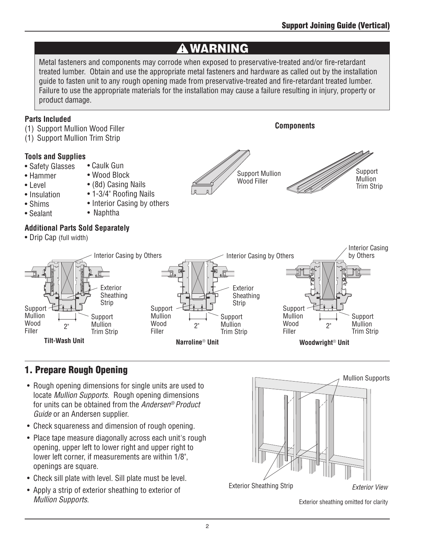## **A WARNING**

Metal fasteners and components may corrode when exposed to preservative-treated and/or fire-retardant treated lumber. Obtain and use the appropriate metal fasteners and hardware as called out by the installation guide to fasten unit to any rough opening made from preservative-treated and fire-retardant treated lumber. Failure to use the appropriate materials for the installation may cause a failure resulting in injury, property or product damage.

#### **Parts Included**

(1) Support Mullion Wood Filler

• Caulk Gun • Wood Block • (8d) Casing Nails • 1-3/4" Roofing Nails • Interior Casing by others

• Naphtha

(1) Support Mullion Trim Strip

#### **Tools and Supplies**

- Safety Glasses
- Hammer
- Level
- Insulation
- Shims
- Sealant

#### **Additional Parts Sold Separately**

• Drip Cap (full width)



**Components**





## 1. Prepare Rough Opening

- Rough opening dimensions for single units are used to locate *Mullion Supports*. Rough opening dimensions for units can be obtained from the *Andersen® Product Guide* or an Andersen supplier.
- Check squareness and dimension of rough opening.
- Place tape measure diagonally across each unit's rough opening, upper left to lower right and upper right to lower left corner, if measurements are within 1/8", openings are square.
- Check sill plate with level. Sill plate must be level.
- Apply a strip of exterior sheathing to exterior of *Mullion Supports*.



Exterior sheathing omitted for clarity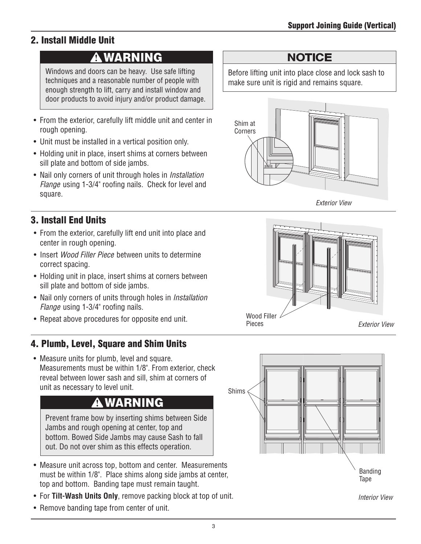### 2. Install Middle Unit

## **A WARNING**

Windows and doors can be heavy. Use safe lifting techniques and a reasonable number of people with enough strength to lift, carry and install window and door products to avoid injury and/or product damage.

- From the exterior, carefully lift middle unit and center in rough opening.
- Unit must be installed in a vertical position only.
- Holding unit in place, insert shims at corners between sill plate and bottom of side jambs.
- • Nail only corners of unit through holes in *Installation Flange* using 1-3/4" roofing nails. Check for level and square.

### 3. Install End Units

- From the exterior, carefully lift end unit into place and center in rough opening.
- Insert *Wood Filler Piece* between units to determine correct spacing.
- Holding unit in place, insert shims at corners between sill plate and bottom of side jambs.
- • Nail only corners of units through holes in *Installation Flange* using 1-3/4" roofing nails.
- 

### 4. Plumb, Level, Square and Shim Units

• Measure units for plumb, level and square. Measurements must be within 1/8". From exterior, check reveal between lower sash and sill, shim at corners of unit as necessary to level unit.

## **A WARNING**

Prevent frame bow by inserting shims between Side Jambs and rough opening at center, top and bottom. Bowed Side Jambs may cause Sash to fall out. Do not over shim as this effects operation.

- Measure unit across top, bottom and center. Measurements must be within 1/8". Place shims along side jambs at center, top and bottom. Banding tape must remain taught.
- For **Tilt-Wash Units Only**, remove packing block at top of unit.
- Remove banding tape from center of unit.

### **NOTICE**

Before lifting unit into place close and lock sash to make sure unit is rigid and remains square.



*Exterior View*





*Interior View*